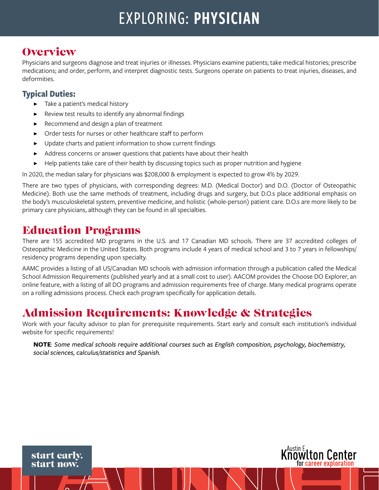# EXPLORING: PHYSICIAN

### **Overview**

Physicians and surgeons diagnose and treat injuries or illnesses. Physicians examine patients; take medical histories; prescribe medications; and order, perform, and interpret diagnostic tests. Surgeons operate on patients to treat injuries, diseases, and deformities.

#### **Typical Duties:**

- ▶ Take a patient's medical history
- Review test results to identify any abnormal findings
- Recommend and design a plan of treatment
- Order tests for nurses or other healthcare staff to perform
- Update charts and patient information to show current findings
- Address concerns or answer questions that patients have about their health
- Help patients take care of their health by discussing topics such as proper nutrition and hygiene

In 2020, the median salary for physicians was \$208,000 & employment is expected to grow 4% by 2029.

There are two types of physicians, with corresponding degrees: M.D. (Medical Doctor) and D.O. (Doctor of Osteopathic Medicine). Both use the same methods of treatment, including drugs and surgery, but D.O.s place additional emphasis on the body's musculoskeletal system, preventive medicine, and holistic (whole-person) patient care. D.O.s are more likely to be primary care physicians, although they can be found in all specialties.

### Education Programs

There are 155 accredited MD programs in the U.S. and 17 Canadian MD schools. There are 37 accredited colleges of Osteopathic Medicine in the United States. Both programs include 4 years of medical school and 3 to 7 years in fellowships/ residency programs depending upon specialty.

AAMC provides a listing of all US/Canadian MD schools with admission information through a publication called the Medical School Admission Requirements (published yearly and at a small cost to user). AACOM provides the Choose DO Explorer, an online feature, with a listing of all DO programs and admission requirements free of charge. Many medical programs operate on a rolling admissions process. Check each program specifically for application details.

### Admission Requirements: Knowledge & Strategies

Work with your faculty advisor to plan for prerequisite requirements. Start early and consult each institution's individual website for specific requirements!

**NOTE**: *Some medical schools require additional courses such as English composition, psychology, biochemistry, social sciences, calculus/statistics and Spanish.*